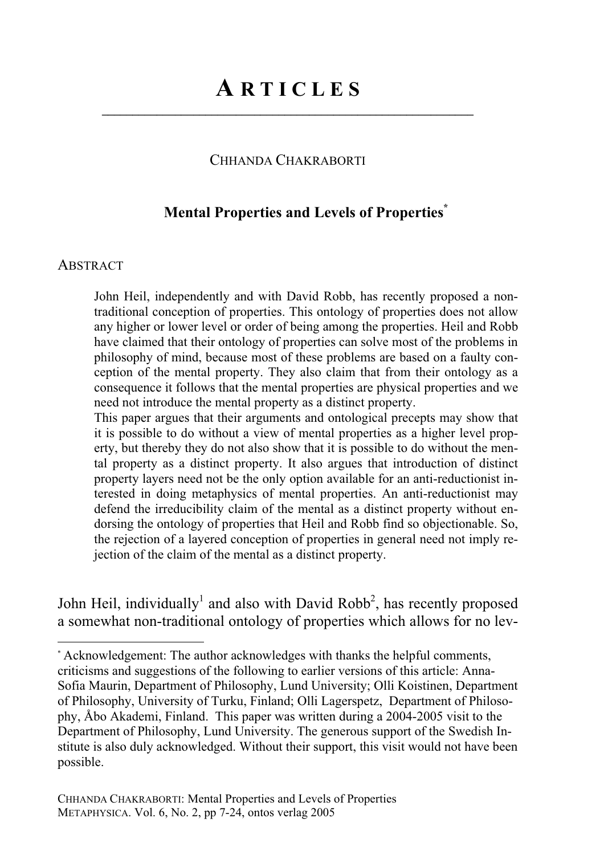**\_\_\_\_\_\_\_\_\_\_\_\_\_\_\_\_\_\_\_\_\_\_\_\_\_\_\_\_\_\_\_\_\_\_\_\_\_\_\_\_\_\_\_\_\_\_\_\_\_\_\_\_\_\_\_\_\_\_\_\_\_**

## CHHANDA CHAKRABORTI

## **Mental Properties and Levels of Properties\***

#### **ABSTRACT**

John Heil, independently and with David Robb, has recently proposed a nontraditional conception of properties. This ontology of properties does not allow any higher or lower level or order of being among the properties. Heil and Robb have claimed that their ontology of properties can solve most of the problems in philosophy of mind, because most of these problems are based on a faulty conception of the mental property. They also claim that from their ontology as a consequence it follows that the mental properties are physical properties and we need not introduce the mental property as a distinct property.

This paper argues that their arguments and ontological precepts may show that it is possible to do without a view of mental properties as a higher level property, but thereby they do not also show that it is possible to do without the mental property as a distinct property. It also argues that introduction of distinct property layers need not be the only option available for an anti-reductionist interested in doing metaphysics of mental properties. An anti-reductionist may defend the irreducibility claim of the mental as a distinct property without endorsing the ontology of properties that Heil and Robb find so objectionable. So, the rejection of a layered conception of properties in general need not imply rejection of the claim of the mental as a distinct property.

John Heil, individually<sup>1</sup> and also with David Robb<sup>2</sup>, has recently proposed a somewhat non-traditional ontology of properties which allows for no lev-

<sup>\*</sup> Acknowledgement: The author acknowledges with thanks the helpful comments, criticisms and suggestions of the following to earlier versions of this article: Anna-Sofia Maurin, Department of Philosophy, Lund University; Olli Koistinen, Department of Philosophy, University of Turku, Finland; Olli Lagerspetz, Department of Philosophy, Åbo Akademi, Finland. This paper was written during a 2004-2005 visit to the Department of Philosophy, Lund University. The generous support of the Swedish Institute is also duly acknowledged. Without their support, this visit would not have been possible.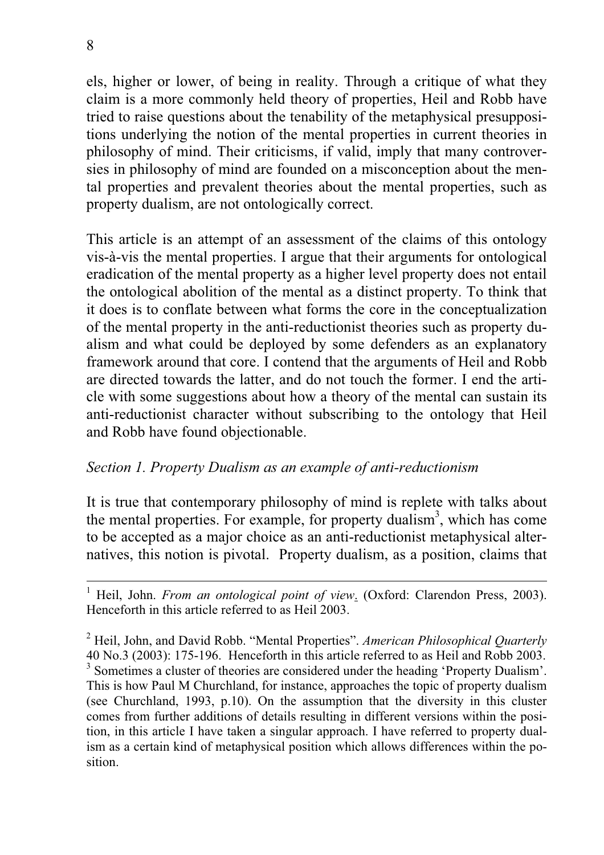els, higher or lower, of being in reality. Through a critique of what they claim is a more commonly held theory of properties, Heil and Robb have tried to raise questions about the tenability of the metaphysical presuppositions underlying the notion of the mental properties in current theories in philosophy of mind. Their criticisms, if valid, imply that many controversies in philosophy of mind are founded on a misconception about the mental properties and prevalent theories about the mental properties, such as property dualism, are not ontologically correct.

This article is an attempt of an assessment of the claims of this ontology vis-à-vis the mental properties. I argue that their arguments for ontological eradication of the mental property as a higher level property does not entail the ontological abolition of the mental as a distinct property. To think that it does is to conflate between what forms the core in the conceptualization of the mental property in the anti-reductionist theories such as property dualism and what could be deployed by some defenders as an explanatory framework around that core. I contend that the arguments of Heil and Robb are directed towards the latter, and do not touch the former. I end the article with some suggestions about how a theory of the mental can sustain its anti-reductionist character without subscribing to the ontology that Heil and Robb have found objectionable.

## *Section 1. Property Dualism as an example of anti-reductionism*

It is true that contemporary philosophy of mind is replete with talks about the mental properties. For example, for property dualism<sup>3</sup>, which has come to be accepted as a major choice as an anti-reductionist metaphysical alternatives, this notion is pivotal. Property dualism, as a position, claims that

<sup>1</sup> Heil, John. *From an ontological point of view*. (Oxford: Clarendon Press, 2003). Henceforth in this article referred to as Heil 2003.

2 Heil, John, and David Robb. "Mental Properties". *American Philosophical Quarterly* 40 No.3 (2003): 175-196. Henceforth in this article referred to as Heil and Robb 2003. <sup>3</sup> Sometimes a cluster of theories are considered under the heading 'Property Dualism'. This is how Paul M Churchland, for instance, approaches the topic of property dualism (see Churchland, 1993, p.10). On the assumption that the diversity in this cluster comes from further additions of details resulting in different versions within the position, in this article I have taken a singular approach. I have referred to property dualism as a certain kind of metaphysical position which allows differences within the position.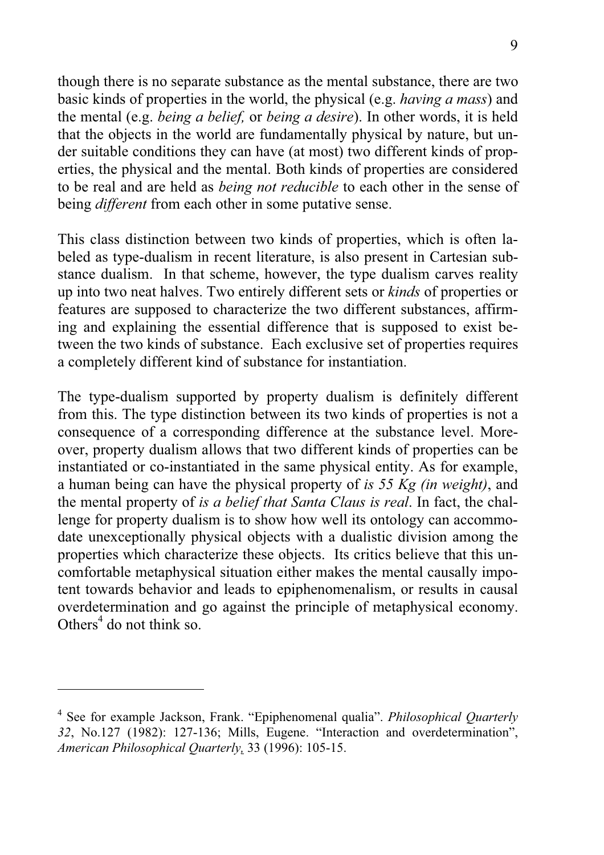though there is no separate substance as the mental substance, there are two basic kinds of properties in the world, the physical (e.g. *having a mass*) and the mental (e.g. *being a belief,* or *being a desire*). In other words, it is held that the objects in the world are fundamentally physical by nature, but under suitable conditions they can have (at most) two different kinds of properties, the physical and the mental. Both kinds of properties are considered to be real and are held as *being not reducible* to each other in the sense of being *different* from each other in some putative sense.

This class distinction between two kinds of properties, which is often labeled as type-dualism in recent literature, is also present in Cartesian substance dualism. In that scheme, however, the type dualism carves reality up into two neat halves. Two entirely different sets or *kinds* of properties or features are supposed to characterize the two different substances, affirming and explaining the essential difference that is supposed to exist between the two kinds of substance. Each exclusive set of properties requires a completely different kind of substance for instantiation.

The type-dualism supported by property dualism is definitely different from this. The type distinction between its two kinds of properties is not a consequence of a corresponding difference at the substance level. Moreover, property dualism allows that two different kinds of properties can be instantiated or co-instantiated in the same physical entity. As for example, a human being can have the physical property of *is 55 Kg (in weight)*, and the mental property of *is a belief that Santa Claus is real*. In fact, the challenge for property dualism is to show how well its ontology can accommodate unexceptionally physical objects with a dualistic division among the properties which characterize these objects. Its critics believe that this uncomfortable metaphysical situation either makes the mental causally impotent towards behavior and leads to epiphenomenalism, or results in causal overdetermination and go against the principle of metaphysical economy. Others $<sup>4</sup>$  do not think so.</sup>

<sup>4</sup> See for example Jackson, Frank. "Epiphenomenal qualia". *Philosophical Quarterly 32*, No.127 (1982): 127-136; Mills, Eugene. "Interaction and overdetermination", *American Philosophical Quarterly,* 33 (1996): 105-15.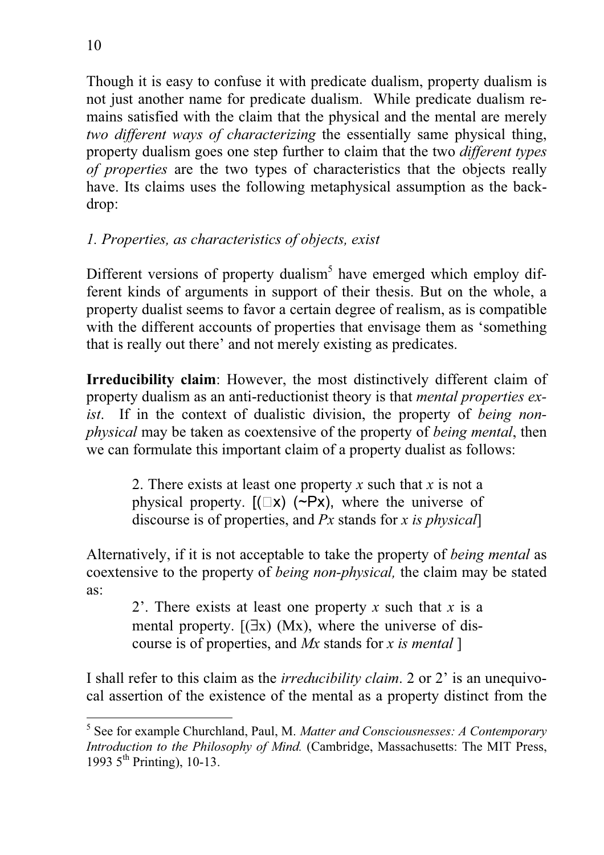Though it is easy to confuse it with predicate dualism, property dualism is not just another name for predicate dualism. While predicate dualism remains satisfied with the claim that the physical and the mental are merely *two different ways of characterizing* the essentially same physical thing, property dualism goes one step further to claim that the two *different types of properties* are the two types of characteristics that the objects really have. Its claims uses the following metaphysical assumption as the backdrop:

# *1. Properties, as characteristics of objects, exist*

Different versions of property dualism<sup>5</sup> have emerged which employ different kinds of arguments in support of their thesis. But on the whole, a property dualist seems to favor a certain degree of realism, as is compatible with the different accounts of properties that envisage them as 'something that is really out there' and not merely existing as predicates.

**Irreducibility claim**: However, the most distinctively different claim of property dualism as an anti-reductionist theory is that *mental properties exist*. If in the context of dualistic division, the property of *being nonphysical* may be taken as coextensive of the property of *being mental*, then we can formulate this important claim of a property dualist as follows:

2. There exists at least one property *x* such that *x* is not a physical property.  $[(\Box x) (\neg Px)$ , where the universe of discourse is of properties, and *Px* stands for *x is physical*]

Alternatively, if it is not acceptable to take the property of *being mental* as coextensive to the property of *being non-physical,* the claim may be stated as:

2'. There exists at least one property *x* such that *x* is a mental property.  $[(\exists x) (Mx)]$ , where the universe of discourse is of properties, and *Mx* stands for *x is mental* ]

I shall refer to this claim as the *irreducibility claim*. 2 or 2' is an unequivocal assertion of the existence of the mental as a property distinct from the

<sup>5</sup> See for example Churchland, Paul, M. *Matter and Consciousnesses: A Contemporary Introduction to the Philosophy of Mind.* (Cambridge, Massachusetts: The MIT Press, 1993  $5^{\text{th}}$  Printing), 10-13.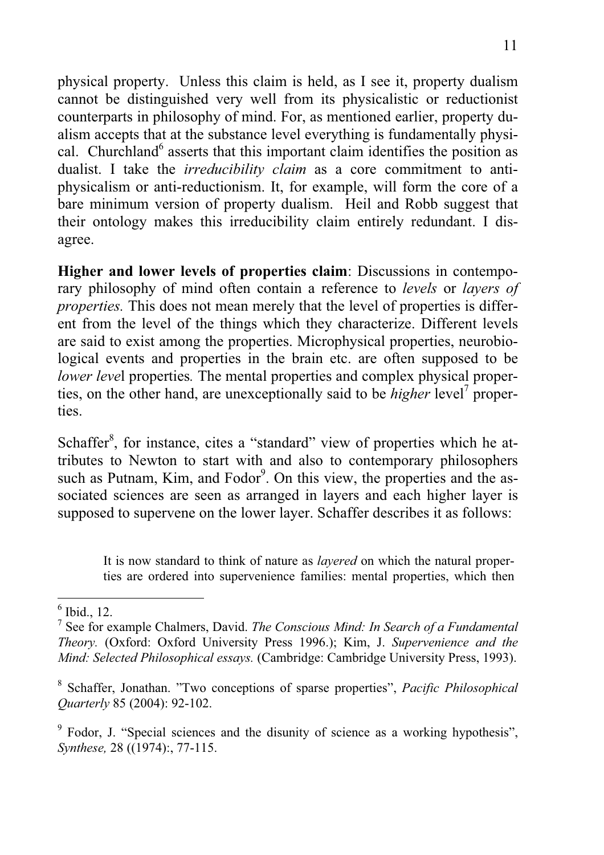physical property. Unless this claim is held, as I see it, property dualism cannot be distinguished very well from its physicalistic or reductionist counterparts in philosophy of mind. For, as mentioned earlier, property dualism accepts that at the substance level everything is fundamentally physical. Churchland<sup>6</sup> asserts that this important claim identifies the position as dualist. I take the *irreducibility claim* as a core commitment to antiphysicalism or anti-reductionism. It, for example, will form the core of a bare minimum version of property dualism. Heil and Robb suggest that their ontology makes this irreducibility claim entirely redundant. I disagree.

**Higher and lower levels of properties claim**: Discussions in contemporary philosophy of mind often contain a reference to *levels* or *layers of properties.* This does not mean merely that the level of properties is different from the level of the things which they characterize. Different levels are said to exist among the properties. Microphysical properties, neurobiological events and properties in the brain etc. are often supposed to be *lower level* properties. The mental properties and complex physical properties, on the other hand, are unexceptionally said to be *higher* level<sup>7</sup> properties.

Schaffer<sup>8</sup>, for instance, cites a "standard" view of properties which he attributes to Newton to start with and also to contemporary philosophers such as Putnam, Kim, and Fodor<sup>9</sup>. On this view, the properties and the associated sciences are seen as arranged in layers and each higher layer is supposed to supervene on the lower layer. Schaffer describes it as follows:

It is now standard to think of nature as *layered* on which the natural properties are ordered into supervenience families: mental properties, which then

<sup>6</sup> Ibid., 12.

<sup>7</sup> See for example Chalmers, David. *The Conscious Mind: In Search of a Fundamental Theory.* (Oxford: Oxford University Press 1996.); Kim, J. *Supervenience and the Mind: Selected Philosophical essays.* (Cambridge: Cambridge University Press, 1993).

<sup>8</sup> Schaffer, Jonathan. "Two conceptions of sparse properties", *Pacific Philosophical Quarterly* 85 (2004): 92-102.

<sup>&</sup>lt;sup>9</sup> Fodor, J. "Special sciences and the disunity of science as a working hypothesis", *Synthese,* 28 ((1974):, 77-115.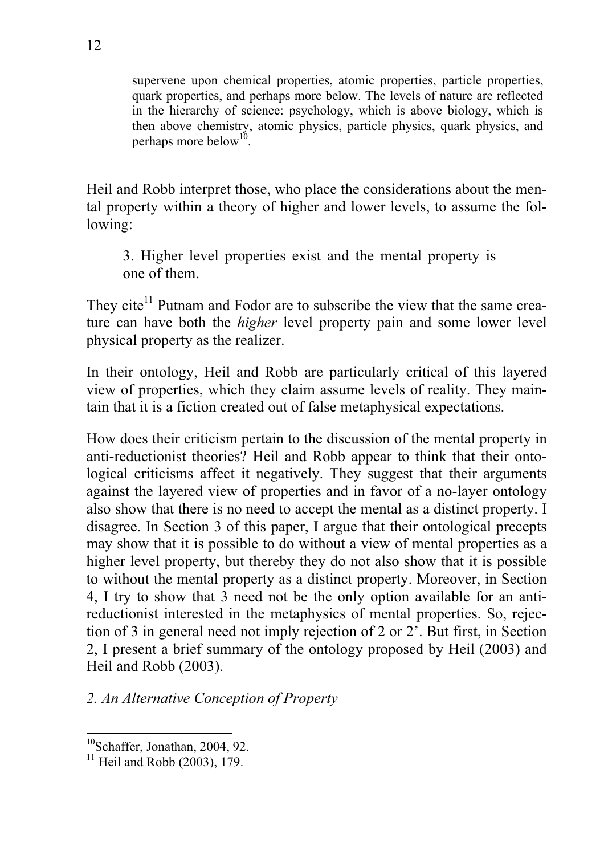supervene upon chemical properties, atomic properties, particle properties, quark properties, and perhaps more below. The levels of nature are reflected in the hierarchy of science: psychology, which is above biology, which is then above chemistry, atomic physics, particle physics, quark physics, and perhaps more below<sup>10</sup>.

Heil and Robb interpret those, who place the considerations about the mental property within a theory of higher and lower levels, to assume the following:

3. Higher level properties exist and the mental property is one of them.

They cite<sup>11</sup> Putnam and Fodor are to subscribe the view that the same creature can have both the *higher* level property pain and some lower level physical property as the realizer.

In their ontology, Heil and Robb are particularly critical of this layered view of properties, which they claim assume levels of reality. They maintain that it is a fiction created out of false metaphysical expectations.

How does their criticism pertain to the discussion of the mental property in anti-reductionist theories? Heil and Robb appear to think that their ontological criticisms affect it negatively. They suggest that their arguments against the layered view of properties and in favor of a no-layer ontology also show that there is no need to accept the mental as a distinct property. I disagree. In Section 3 of this paper, I argue that their ontological precepts may show that it is possible to do without a view of mental properties as a higher level property, but thereby they do not also show that it is possible to without the mental property as a distinct property. Moreover, in Section 4, I try to show that 3 need not be the only option available for an antireductionist interested in the metaphysics of mental properties. So, rejection of 3 in general need not imply rejection of 2 or 2'. But first, in Section 2, I present a brief summary of the ontology proposed by Heil (2003) and Heil and Robb (2003).

*2. An Alternative Conception of Property* 

 $10$ Schaffer, Jonathan, 2004, 92.

 $11$  Heil and Robb (2003), 179.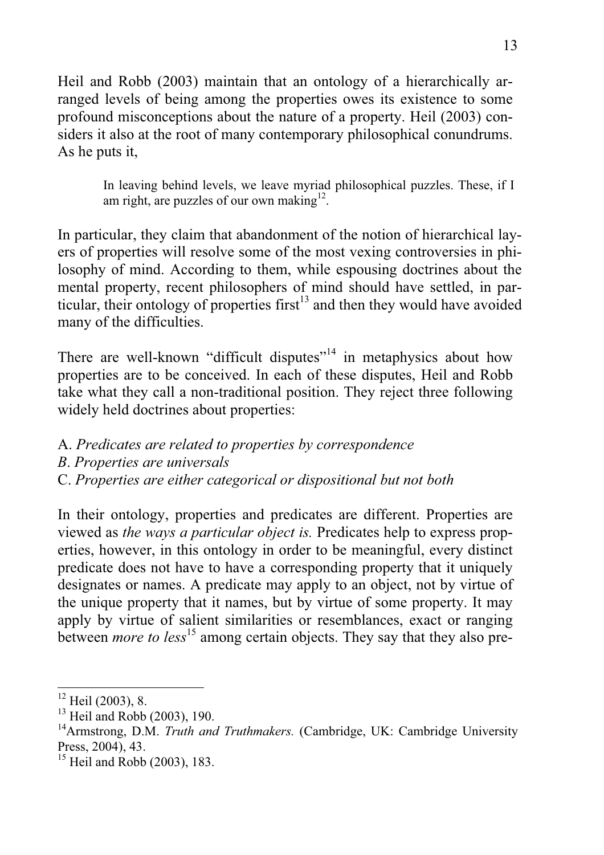Heil and Robb (2003) maintain that an ontology of a hierarchically arranged levels of being among the properties owes its existence to some profound misconceptions about the nature of a property. Heil (2003) considers it also at the root of many contemporary philosophical conundrums. As he puts it,

> In leaving behind levels, we leave myriad philosophical puzzles. These, if I am right, are puzzles of our own making $12$ .

In particular, they claim that abandonment of the notion of hierarchical layers of properties will resolve some of the most vexing controversies in philosophy of mind. According to them, while espousing doctrines about the mental property, recent philosophers of mind should have settled, in particular, their ontology of properties first<sup>13</sup> and then they would have avoided many of the difficulties.

There are well-known "difficult disputes"<sup>14</sup> in metaphysics about how properties are to be conceived. In each of these disputes, Heil and Robb take what they call a non-traditional position. They reject three following widely held doctrines about properties:

- A. *Predicates are related to properties by correspondence*
- *B*. *Properties are universals*
- C. *Properties are either categorical or dispositional but not both*

In their ontology, properties and predicates are different. Properties are viewed as *the ways a particular object is.* Predicates help to express properties, however, in this ontology in order to be meaningful, every distinct predicate does not have to have a corresponding property that it uniquely designates or names. A predicate may apply to an object, not by virtue of the unique property that it names, but by virtue of some property. It may apply by virtue of salient similarities or resemblances, exact or ranging between *more to less*<sup>15</sup> among certain objects. They say that they also pre-

 $12$  Heil (2003), 8.

 $13$  Heil and Robb (2003), 190.

<sup>&</sup>lt;sup>14</sup>Armstrong, D.M. *Truth and Truthmakers.* (Cambridge, UK: Cambridge University Press, 2004), 43.

 $15$  Heil and Robb (2003), 183.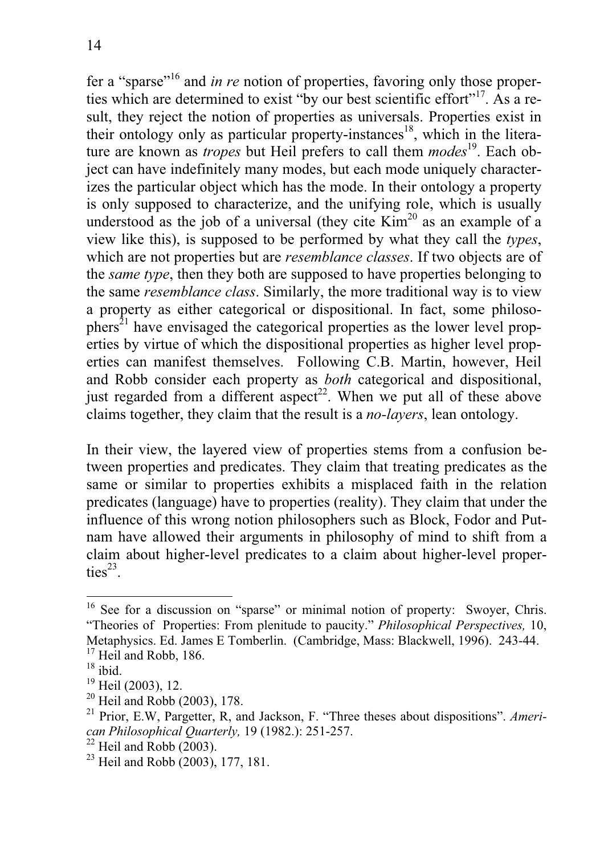fer a "sparse"16 and *in re* notion of properties, favoring only those properties which are determined to exist "by our best scientific effort"<sup>17</sup>. As a result, they reject the notion of properties as universals. Properties exist in their ontology only as particular property-instances<sup>18</sup>, which in the literature are known as *tropes* but Heil prefers to call them *modes*<sup>19</sup>. Each object can have indefinitely many modes, but each mode uniquely characterizes the particular object which has the mode. In their ontology a property is only supposed to characterize, and the unifying role, which is usually understood as the job of a universal (they cite  $Kim<sup>20</sup>$  as an example of a view like this), is supposed to be performed by what they call the *types*, which are not properties but are *resemblance classes*. If two objects are of the *same type*, then they both are supposed to have properties belonging to the same *resemblance class*. Similarly, the more traditional way is to view a property as either categorical or dispositional. In fact, some philoso $phers<sup>21</sup>$  have envisaged the categorical properties as the lower level properties by virtue of which the dispositional properties as higher level properties can manifest themselves. Following C.B. Martin, however, Heil and Robb consider each property as *both* categorical and dispositional, just regarded from a different aspect<sup>22</sup>. When we put all of these above claims together, they claim that the result is a *no-layers*, lean ontology.

In their view, the layered view of properties stems from a confusion between properties and predicates. They claim that treating predicates as the same or similar to properties exhibits a misplaced faith in the relation predicates (language) have to properties (reality). They claim that under the influence of this wrong notion philosophers such as Block, Fodor and Putnam have allowed their arguments in philosophy of mind to shift from a claim about higher-level predicates to a claim about higher-level properties $^{23}$ .

 $20$  Heil and Robb (2003), 178.

<sup>&</sup>lt;sup>16</sup> See for a discussion on "sparse" or minimal notion of property: Swoyer, Chris. "Theories of Properties: From plenitude to paucity." *Philosophical Perspectives,* 10, Metaphysics. Ed. James E Tomberlin. (Cambridge, Mass: Blackwell, 1996). 243-44.

<sup>&</sup>lt;sup>17</sup> Heil and Robb, 186.

 $18$  ibid.

 $19$  Heil (2003), 12.

<sup>21</sup> Prior, E.W, Pargetter, R, and Jackson, F. "Three theses about dispositions". *American Philosophical Quarterly,* 19 (1982.): 251-257.

 $22$  Heil and Robb (2003).

<sup>&</sup>lt;sup>23</sup> Heil and Robb  $(2003)$ , 177, 181.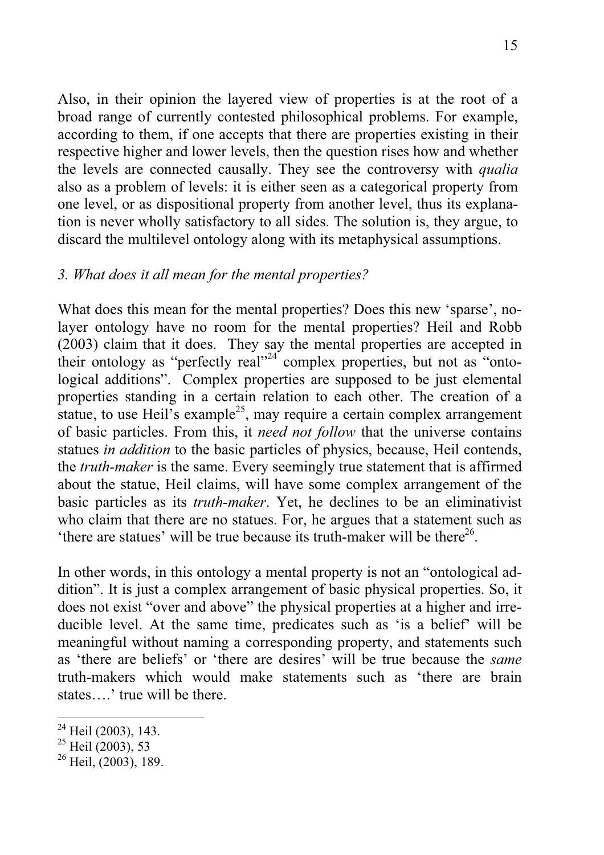Also, in their opinion the layered view of properties is at the root of a broad range of currently contested philosophical problems. For example, according to them, if one accepts that there are properties existing in their respective higher and lower levels, then the question rises how and whether the levels are connected causally. They see the controversy with *qualia* also as a problem of levels: it is either seen as a categorical property from one level, or as dispositional property from another level, thus its explanation is never wholly satisfactory to all sides. The solution is, they argue, to discard the multilevel ontology along with its metaphysical assumptions.

## *3. What does it all mean for the mental properties?*

What does this mean for the mental properties? Does this new 'sparse', nolayer ontology have no room for the mental properties? Heil and Robb (2003) claim that it does. They say the mental properties are accepted in their ontology as "perfectly real"<sup>24</sup> complex properties, but not as "ontological additions". Complex properties are supposed to be just elemental properties standing in a certain relation to each other. The creation of a statue, to use Heil's example<sup>25</sup>, may require a certain complex arrangement of basic particles. From this, it *need not follow* that the universe contains statues *in addition* to the basic particles of physics, because, Heil contends, the *truth-maker* is the same. Every seemingly true statement that is affirmed about the statue, Heil claims, will have some complex arrangement of the basic particles as its *truth-maker*. Yet, he declines to be an eliminativist who claim that there are no statues. For, he argues that a statement such as 'there are statues' will be true because its truth-maker will be there $^{26}$ .

In other words, in this ontology a mental property is not an "ontological addition". It is just a complex arrangement of basic physical properties. So, it does not exist "over and above" the physical properties at a higher and irreducible level. At the same time, predicates such as 'is a belief' will be meaningful without naming a corresponding property, and statements such as 'there are beliefs' or 'there are desires' will be true because the *same* truth-makers which would make statements such as 'there are brain states….' true will be there.

 $24$  Heil (2003), 143.

<sup>&</sup>lt;sup>25</sup> Heil  $(2003)$ , 53

 $26$  Heil, (2003), 189.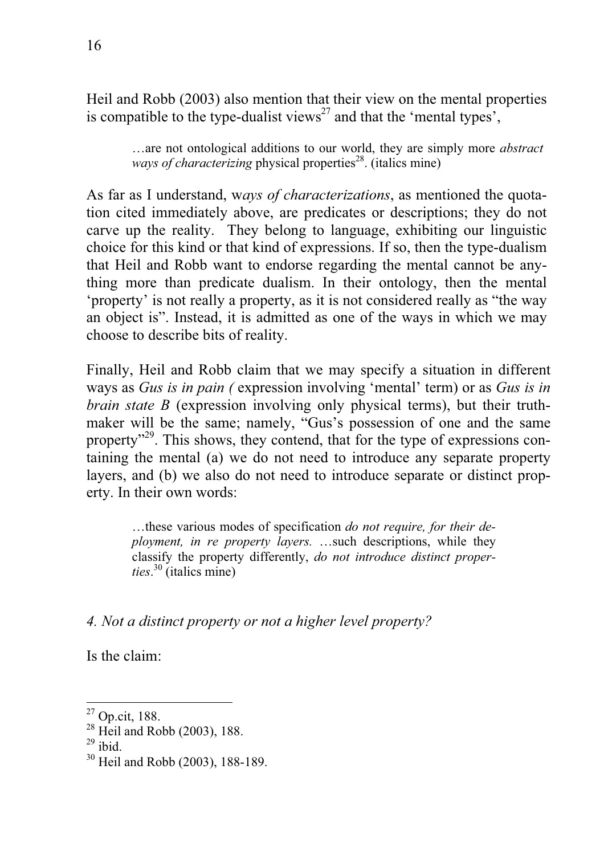Heil and Robb (2003) also mention that their view on the mental properties is compatible to the type-dualist views<sup>27</sup> and that the 'mental types',

…are not ontological additions to our world, they are simply more *abstract ways of characterizing physical properties*<sup>28</sup>. (italics mine)

As far as I understand, w*ays of characterizations*, as mentioned the quotation cited immediately above, are predicates or descriptions; they do not carve up the reality. They belong to language, exhibiting our linguistic choice for this kind or that kind of expressions. If so, then the type-dualism that Heil and Robb want to endorse regarding the mental cannot be anything more than predicate dualism. In their ontology, then the mental 'property' is not really a property, as it is not considered really as "the way an object is". Instead, it is admitted as one of the ways in which we may choose to describe bits of reality.

Finally, Heil and Robb claim that we may specify a situation in different ways as *Gus is in pain (* expression involving 'mental' term) or as *Gus is in brain state B* (expression involving only physical terms), but their truthmaker will be the same; namely, "Gus's possession of one and the same property"<sup>29</sup>. This shows, they contend, that for the type of expressions containing the mental (a) we do not need to introduce any separate property layers, and (b) we also do not need to introduce separate or distinct property. In their own words:

…these various modes of specification *do not require, for their deployment, in re property layers.* …such descriptions, while they classify the property differently, *do not introduce distinct properties*. 30 (italics mine)

*4. Not a distinct property or not a higher level property?* 

Is the claim:

<sup>27</sup> Op.cit, 188.

 $^{28}$  Heil and Robb (2003), 188.

 $29$  ibid.

<sup>30</sup> Heil and Robb (2003), 188-189.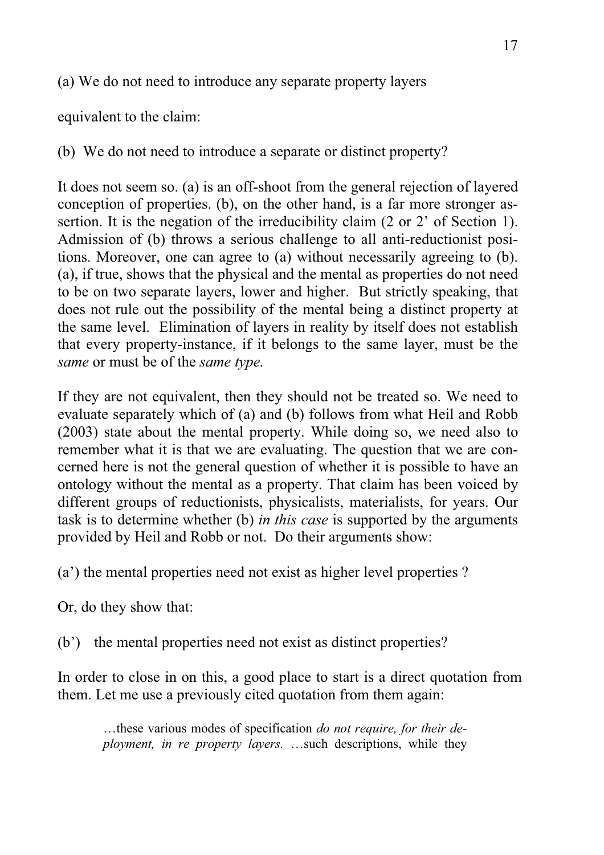(a) We do not need to introduce any separate property layers

equivalent to the claim:

(b) We do not need to introduce a separate or distinct property?

It does not seem so. (a) is an off-shoot from the general rejection of layered conception of properties. (b), on the other hand, is a far more stronger assertion. It is the negation of the irreducibility claim (2 or 2' of Section 1). Admission of (b) throws a serious challenge to all anti-reductionist positions. Moreover, one can agree to (a) without necessarily agreeing to (b). (a), if true, shows that the physical and the mental as properties do not need to be on two separate layers, lower and higher. But strictly speaking, that does not rule out the possibility of the mental being a distinct property at the same level. Elimination of layers in reality by itself does not establish that every property-instance, if it belongs to the same layer, must be the *same* or must be of the *same type.*

If they are not equivalent, then they should not be treated so. We need to evaluate separately which of (a) and (b) follows from what Heil and Robb (2003) state about the mental property. While doing so, we need also to remember what it is that we are evaluating. The question that we are concerned here is not the general question of whether it is possible to have an ontology without the mental as a property. That claim has been voiced by different groups of reductionists, physicalists, materialists, for years. Our task is to determine whether (b) *in this case* is supported by the arguments provided by Heil and Robb or not. Do their arguments show:

(a') the mental properties need not exist as higher level properties ?

Or, do they show that:

(b') the mental properties need not exist as distinct properties?

In order to close in on this, a good place to start is a direct quotation from them. Let me use a previously cited quotation from them again:

…these various modes of specification *do not require, for their deployment, in re property layers.* …such descriptions, while they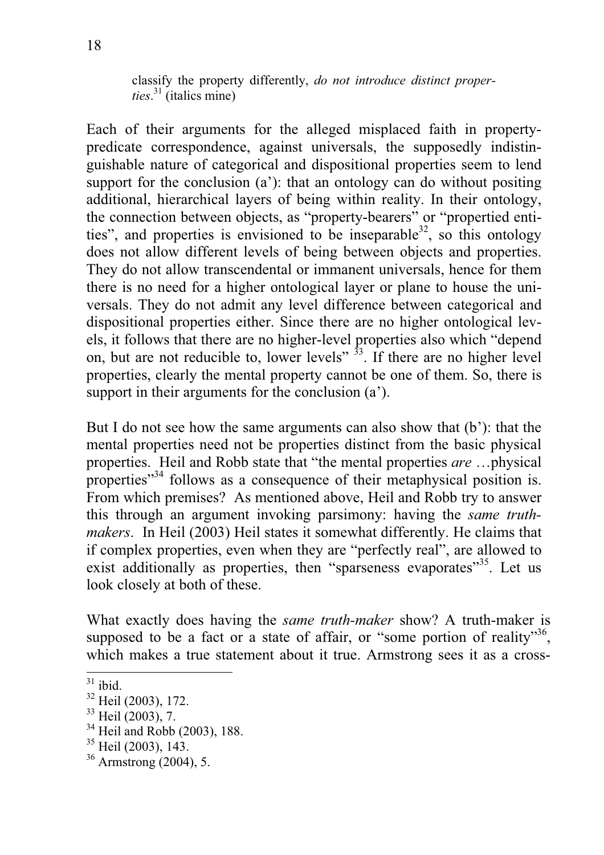classify the property differently, *do not introduce distinct properties*. 31 (italics mine)

Each of their arguments for the alleged misplaced faith in propertypredicate correspondence, against universals, the supposedly indistinguishable nature of categorical and dispositional properties seem to lend support for the conclusion (a'): that an ontology can do without positing additional, hierarchical layers of being within reality. In their ontology, the connection between objects, as "property-bearers" or "propertied entities", and properties is envisioned to be inseparable  $32$ , so this ontology does not allow different levels of being between objects and properties. They do not allow transcendental or immanent universals, hence for them there is no need for a higher ontological layer or plane to house the universals. They do not admit any level difference between categorical and dispositional properties either. Since there are no higher ontological levels, it follows that there are no higher-level properties also which "depend on, but are not reducible to, lower levels"  $\frac{3}{3}$ . If there are no higher level properties, clearly the mental property cannot be one of them. So, there is support in their arguments for the conclusion  $(a')$ .

But I do not see how the same arguments can also show that (b'): that the mental properties need not be properties distinct from the basic physical properties. Heil and Robb state that "the mental properties *are* …physical properties"34 follows as a consequence of their metaphysical position is. From which premises? As mentioned above, Heil and Robb try to answer this through an argument invoking parsimony: having the *same truthmakers*. In Heil (2003) Heil states it somewhat differently. He claims that if complex properties, even when they are "perfectly real", are allowed to exist additionally as properties, then "sparseness evaporates"<sup>35</sup>. Let us look closely at both of these.

What exactly does having the *same truth-maker* show? A truth-maker is supposed to be a fact or a state of affair, or "some portion of reality"36, which makes a true statement about it true. Armstrong sees it as a cross-

 $31$  ibid.

<sup>32</sup> Heil (2003), 172.

<sup>&</sup>lt;sup>33</sup> Heil (2003), 7.

 $34$  Heil and Robb (2003), 188.

 $35$  Heil (2003), 143.

<sup>36</sup> Armstrong (2004), 5.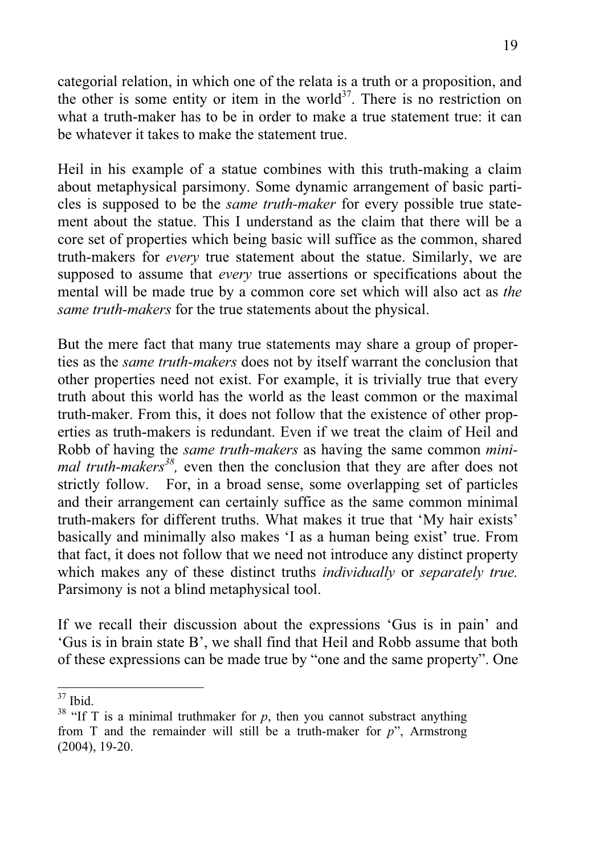categorial relation, in which one of the relata is a truth or a proposition, and the other is some entity or item in the world<sup>37</sup>. There is no restriction on what a truth-maker has to be in order to make a true statement true: it can be whatever it takes to make the statement true.

Heil in his example of a statue combines with this truth-making a claim about metaphysical parsimony. Some dynamic arrangement of basic particles is supposed to be the *same truth-maker* for every possible true statement about the statue. This I understand as the claim that there will be a core set of properties which being basic will suffice as the common, shared truth-makers for *every* true statement about the statue. Similarly, we are supposed to assume that *every* true assertions or specifications about the mental will be made true by a common core set which will also act as *the same truth-makers* for the true statements about the physical.

But the mere fact that many true statements may share a group of properties as the *same truth-makers* does not by itself warrant the conclusion that other properties need not exist. For example, it is trivially true that every truth about this world has the world as the least common or the maximal truth-maker. From this, it does not follow that the existence of other properties as truth-makers is redundant. Even if we treat the claim of Heil and Robb of having the *same truth-makers* as having the same common *minimal truth-makers38,* even then the conclusion that they are after does not strictly follow. For, in a broad sense, some overlapping set of particles and their arrangement can certainly suffice as the same common minimal truth-makers for different truths. What makes it true that 'My hair exists' basically and minimally also makes 'I as a human being exist' true. From that fact, it does not follow that we need not introduce any distinct property which makes any of these distinct truths *individually* or *separately true.* Parsimony is not a blind metaphysical tool.

If we recall their discussion about the expressions 'Gus is in pain' and 'Gus is in brain state B', we shall find that Heil and Robb assume that both of these expressions can be made true by "one and the same property". One

<sup>&</sup>lt;sup>37</sup> Ibid.

<sup>&</sup>lt;sup>38</sup> "If T is a minimal truthmaker for  $p$ , then you cannot substract anything from T and the remainder will still be a truth-maker for *p*", Armstrong (2004), 19-20.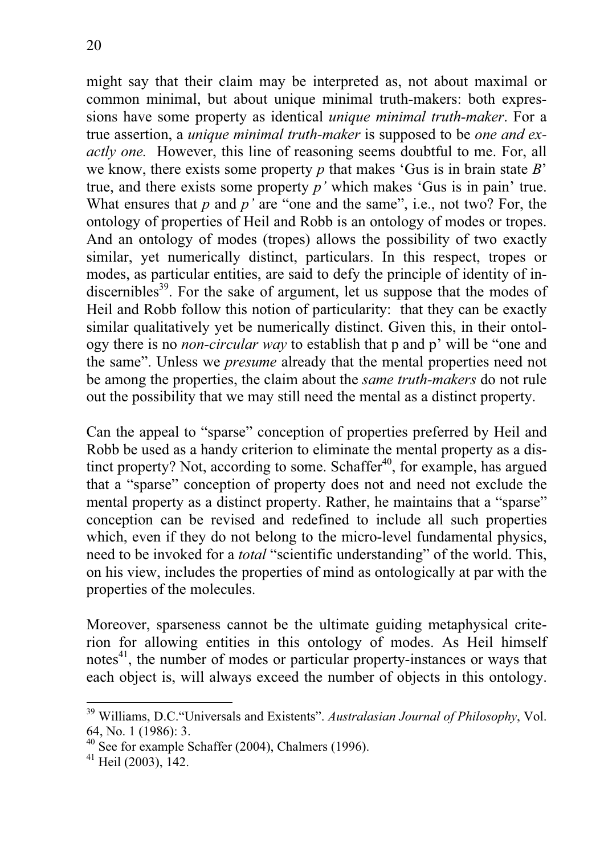might say that their claim may be interpreted as, not about maximal or common minimal, but about unique minimal truth-makers: both expressions have some property as identical *unique minimal truth-maker*. For a true assertion, a *unique minimal truth-maker* is supposed to be *one and exactly one.* However, this line of reasoning seems doubtful to me. For, all we know, there exists some property *p* that makes 'Gus is in brain state *B*' true, and there exists some property *p'* which makes 'Gus is in pain' true. What ensures that *p* and *p'* are "one and the same", i.e., not two? For, the ontology of properties of Heil and Robb is an ontology of modes or tropes. And an ontology of modes (tropes) allows the possibility of two exactly similar, yet numerically distinct, particulars. In this respect, tropes or modes, as particular entities, are said to defy the principle of identity of indiscernibles<sup>39</sup>. For the sake of argument, let us suppose that the modes of Heil and Robb follow this notion of particularity: that they can be exactly similar qualitatively yet be numerically distinct. Given this, in their ontology there is no *non-circular way* to establish that p and p' will be "one and the same". Unless we *presume* already that the mental properties need not be among the properties, the claim about the *same truth-makers* do not rule out the possibility that we may still need the mental as a distinct property.

Can the appeal to "sparse" conception of properties preferred by Heil and Robb be used as a handy criterion to eliminate the mental property as a distinct property? Not, according to some. Schaffer<sup>40</sup>, for example, has argued that a "sparse" conception of property does not and need not exclude the mental property as a distinct property. Rather, he maintains that a "sparse" conception can be revised and redefined to include all such properties which, even if they do not belong to the micro-level fundamental physics, need to be invoked for a *total* "scientific understanding" of the world. This, on his view, includes the properties of mind as ontologically at par with the properties of the molecules.

Moreover, sparseness cannot be the ultimate guiding metaphysical criterion for allowing entities in this ontology of modes. As Heil himself notes<sup>41</sup>, the number of modes or particular property-instances or ways that each object is, will always exceed the number of objects in this ontology.

<sup>39</sup> Williams, D.C."Universals and Existents". *Australasian Journal of Philosophy*, Vol. 64, No. 1 (1986): 3.

 $40\text{ See}$  for example Schaffer (2004), Chalmers (1996).

 $41$  Heil (2003), 142.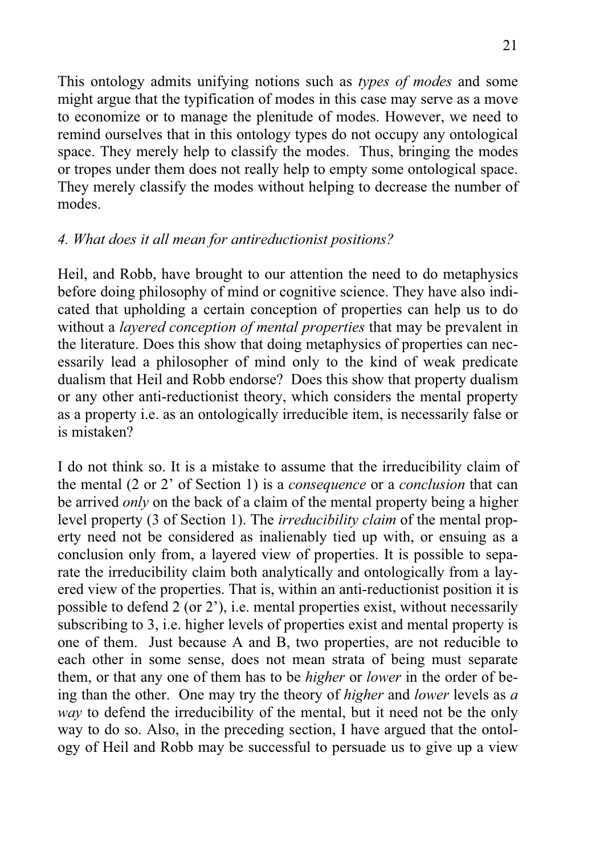This ontology admits unifying notions such as *types of modes* and some might argue that the typification of modes in this case may serve as a move to economize or to manage the plenitude of modes. However, we need to remind ourselves that in this ontology types do not occupy any ontological space. They merely help to classify the modes. Thus, bringing the modes or tropes under them does not really help to empty some ontological space. They merely classify the modes without helping to decrease the number of modes.

### *4. What does it all mean for antireductionist positions?*

Heil, and Robb, have brought to our attention the need to do metaphysics before doing philosophy of mind or cognitive science. They have also indicated that upholding a certain conception of properties can help us to do without a *layered conception of mental properties* that may be prevalent in the literature. Does this show that doing metaphysics of properties can necessarily lead a philosopher of mind only to the kind of weak predicate dualism that Heil and Robb endorse? Does this show that property dualism or any other anti-reductionist theory, which considers the mental property as a property i.e. as an ontologically irreducible item, is necessarily false or is mistaken?

I do not think so. It is a mistake to assume that the irreducibility claim of the mental (2 or 2' of Section 1) is a *consequence* or a *conclusion* that can be arrived *only* on the back of a claim of the mental property being a higher level property (3 of Section 1). The *irreducibility claim* of the mental property need not be considered as inalienably tied up with, or ensuing as a conclusion only from, a layered view of properties. It is possible to separate the irreducibility claim both analytically and ontologically from a layered view of the properties. That is, within an anti-reductionist position it is possible to defend 2 (or 2'), i.e. mental properties exist, without necessarily subscribing to 3, i.e. higher levels of properties exist and mental property is one of them. Just because A and B, two properties, are not reducible to each other in some sense, does not mean strata of being must separate them, or that any one of them has to be *higher* or *lower* in the order of being than the other. One may try the theory of *higher* and *lower* levels as *a way* to defend the irreducibility of the mental, but it need not be the only way to do so. Also, in the preceding section, I have argued that the ontology of Heil and Robb may be successful to persuade us to give up a view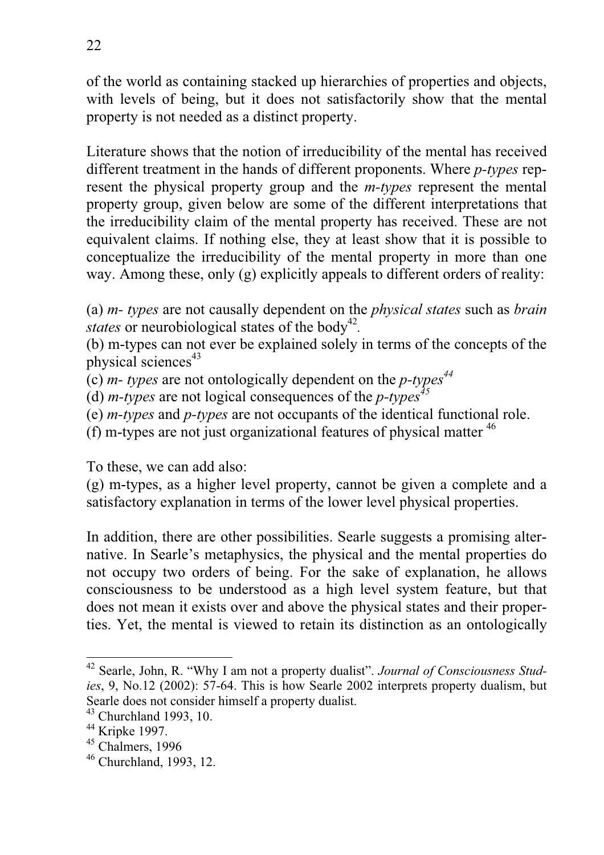of the world as containing stacked up hierarchies of properties and objects, with levels of being, but it does not satisfactorily show that the mental property is not needed as a distinct property.

Literature shows that the notion of irreducibility of the mental has received different treatment in the hands of different proponents. Where *p-types* represent the physical property group and the *m-types* represent the mental property group, given below are some of the different interpretations that the irreducibility claim of the mental property has received. These are not equivalent claims. If nothing else, they at least show that it is possible to conceptualize the irreducibility of the mental property in more than one way. Among these, only (g) explicitly appeals to different orders of reality:

(a) *m- types* are not causally dependent on the *physical states* such as *brain states* or neurobiological states of the body<sup>42</sup>.

(b) m-types can not ever be explained solely in terms of the concepts of the physical sciences<sup>43</sup>

(c) *m- types* are not ontologically dependent on the *p-types44*

(d) *m-types* are not logical consequences of the *p-types<sup>45</sup>*

(e) *m-types* and *p-types* are not occupants of the identical functional role.

(f) m-types are not just organizational features of physical matter  $46$ 

To these, we can add also:

(g) m-types, as a higher level property, cannot be given a complete and a satisfactory explanation in terms of the lower level physical properties.

In addition, there are other possibilities. Searle suggests a promising alternative. In Searle's metaphysics, the physical and the mental properties do not occupy two orders of being. For the sake of explanation, he allows consciousness to be understood as a high level system feature, but that does not mean it exists over and above the physical states and their properties. Yet, the mental is viewed to retain its distinction as an ontologically

<sup>42</sup> Searle, John, R. "Why I am not a property dualist". *Journal of Consciousness Studies*, 9, No.12 (2002): 57-64. This is how Searle 2002 interprets property dualism, but Searle does not consider himself a property dualist.

 $43$  Churchland 1993, 10.

<sup>44</sup> Kripke 1997.

 $45$  Chalmers, 1996

<sup>46</sup> Churchland, 1993, 12.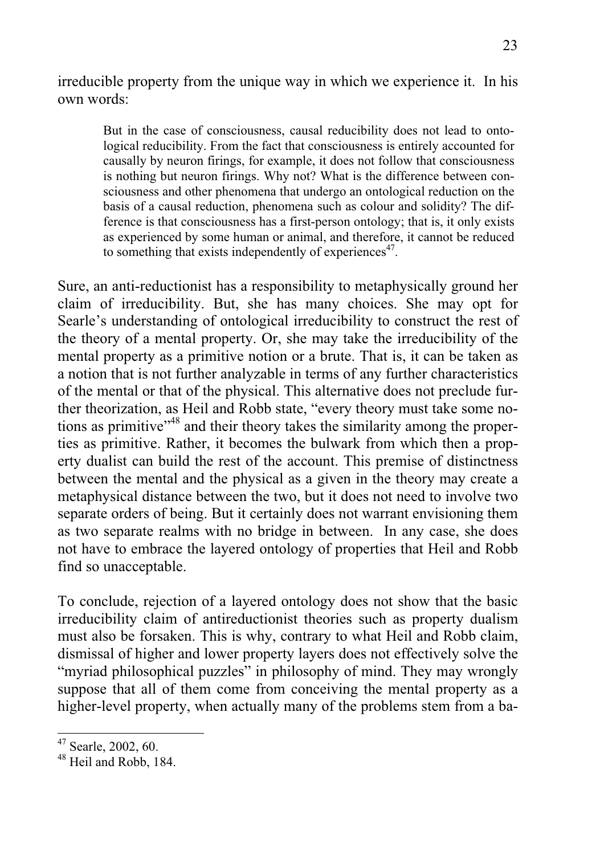irreducible property from the unique way in which we experience it. In his own words:

But in the case of consciousness, causal reducibility does not lead to ontological reducibility. From the fact that consciousness is entirely accounted for causally by neuron firings, for example, it does not follow that consciousness is nothing but neuron firings. Why not? What is the difference between consciousness and other phenomena that undergo an ontological reduction on the basis of a causal reduction, phenomena such as colour and solidity? The difference is that consciousness has a first-person ontology; that is, it only exists as experienced by some human or animal, and therefore, it cannot be reduced to something that exists independently of experiences $47$ .

Sure, an anti-reductionist has a responsibility to metaphysically ground her claim of irreducibility. But, she has many choices. She may opt for Searle's understanding of ontological irreducibility to construct the rest of the theory of a mental property. Or, she may take the irreducibility of the mental property as a primitive notion or a brute. That is, it can be taken as a notion that is not further analyzable in terms of any further characteristics of the mental or that of the physical. This alternative does not preclude further theorization, as Heil and Robb state, "every theory must take some notions as primitive"48 and their theory takes the similarity among the properties as primitive. Rather, it becomes the bulwark from which then a property dualist can build the rest of the account. This premise of distinctness between the mental and the physical as a given in the theory may create a metaphysical distance between the two, but it does not need to involve two separate orders of being. But it certainly does not warrant envisioning them as two separate realms with no bridge in between. In any case, she does not have to embrace the layered ontology of properties that Heil and Robb find so unacceptable.

To conclude, rejection of a layered ontology does not show that the basic irreducibility claim of antireductionist theories such as property dualism must also be forsaken. This is why, contrary to what Heil and Robb claim, dismissal of higher and lower property layers does not effectively solve the "myriad philosophical puzzles" in philosophy of mind. They may wrongly suppose that all of them come from conceiving the mental property as a higher-level property, when actually many of the problems stem from a ba-

<sup>47</sup> Searle, 2002, 60.

<sup>&</sup>lt;sup>48</sup> Heil and Robb, 184.